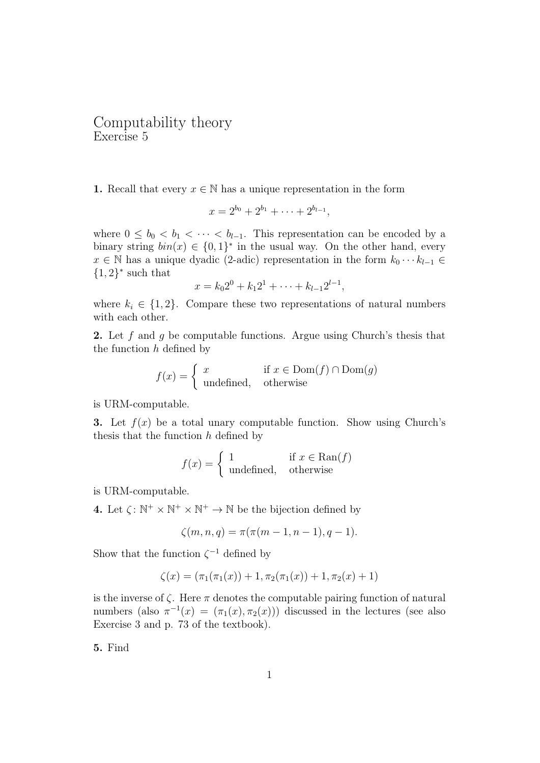## Computability theory Exercise 5

1. Recall that every  $x \in \mathbb{N}$  has a unique representation in the form

$$
x = 2^{b_0} + 2^{b_1} + \cdots + 2^{b_{l-1}},
$$

where  $0 \leq b_0 < b_1 < \cdots < b_{l-1}$ . This representation can be encoded by a binary string  $bin(x) \in \{0,1\}^*$  in the usual way. On the other hand, every  $x \in \mathbb{N}$  has a unique dyadic (2-adic) representation in the form  $k_0 \cdots k_{l-1} \in$  $\{1,2\}^*$  such that

$$
x = k_0 2^0 + k_1 2^1 + \dots + k_{l-1} 2^{l-1},
$$

where  $k_i \in \{1, 2\}$ . Compare these two representations of natural numbers with each other.

**2.** Let  $f$  and  $g$  be computable functions. Argue using Church's thesis that the function  $h$  defined by

$$
f(x) = \begin{cases} x & \text{if } x \in \text{Dom}(f) \cap \text{Dom}(g) \\ \text{undefined}, & \text{otherwise} \end{cases}
$$

is URM-computable.

**3.** Let  $f(x)$  be a total unary computable function. Show using Church's thesis that the function  $h$  defined by

$$
f(x) = \begin{cases} 1 & \text{if } x \in \text{Ran}(f) \\ \text{undefined}, & \text{otherwise} \end{cases}
$$

is URM-computable.

**4.** Let  $\zeta: \mathbb{N}^+ \times \mathbb{N}^+ \times \mathbb{N}^+ \to \mathbb{N}$  be the bijection defined by

$$
\zeta(m, n, q) = \pi(\pi(m - 1, n - 1), q - 1).
$$

Show that the function  $\zeta^{-1}$  defined by

$$
\zeta(x) = (\pi_1(\pi_1(x)) + 1, \pi_2(\pi_1(x)) + 1, \pi_2(x) + 1)
$$

is the inverse of  $\zeta$ . Here  $\pi$  denotes the computable pairing function of natural numbers (also  $\pi^{-1}(x) = (\pi_1(x), \pi_2(x))$ ) discussed in the lectures (see also Exercise 3 and p. 73 of the textbook).

5. Find